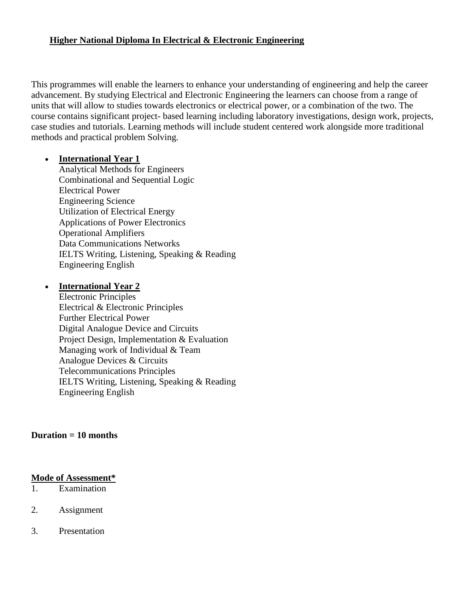### **Higher National Diploma In Electrical & Electronic Engineering**

This programmes will enable the learners to enhance your understanding of engineering and help the career advancement. By studying Electrical and Electronic Engineering the learners can choose from a range of units that will allow to studies towards electronics or electrical power, or a combination of the two. The course contains significant project- based learning including laboratory investigations, design work, projects, case studies and tutorials. Learning methods will include student centered work alongside more traditional methods and practical problem Solving.

#### **International Year 1**

Analytical Methods for Engineers Combinational and Sequential Logic Electrical Power Engineering Science Utilization of Electrical Energy Applications of Power Electronics Operational Amplifiers Data Communications Networks IELTS Writing, Listening, Speaking & Reading Engineering English

#### **International Year 2**

Electronic Principles Electrical & Electronic Principles Further Electrical Power Digital Analogue Device and Circuits Project Design, Implementation & Evaluation Managing work of Individual & Team Analogue Devices & Circuits Telecommunications Principles IELTS Writing, Listening, Speaking & Reading Engineering English

#### **Duration = 10 months**

#### **Mode of Assessment\***

- 1. Examination
- 2. Assignment
- 3. Presentation